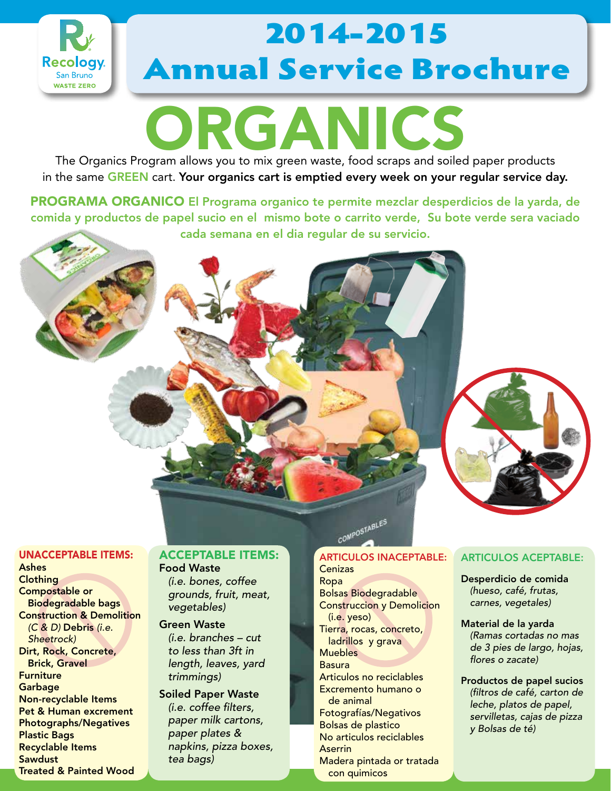

# 2014-2015 Annual Service Brochure

# ORGANICS

The Organics Program allows you to mix green waste, food scraps and soiled paper products in the same GREEN cart. Your organics cart is emptied every week on your regular service day.

PROGRAMA ORGANICO El Programa organico te permite mezclar desperdicios de la yarda, de comida y productos de papel sucio en el mismo bote o carrito verde, Su bote verde sera vaciado cada semana en el dia regular de su servicio.



#### UNACCEPTABLE ITEMS:

Ashes **Clothing** Compostable or Biodegradable bags Construction & Demolition  *(C & D)* Debris *(i.e. Sheetrock)* Dirt, Rock, Concrete, Brick, Gravel **Furniture Garbage** Non-recyclable Items Pet & Human excrement Photographs/Negatives Plastic Bags Recyclable Items **Sawdust** Treated & Painted Wood

#### ACCEPTABLE ITEMS: Food Waste

 *(i.e. bones, coffee grounds, fruit, meat, vegetables)*

#### Green Waste  *(i.e. branches – cut*

*to less than 3ft in length, leaves, yard trimmings)*

Soiled Paper Waste *(i.e. coffee filters, paper milk cartons, paper plates & napkins, pizza boxes, tea bags)*

### COMPOSTABLES ARTICULOS INACEPTABLE:

**Cenizas** Ropa Bolsas Biodegradable Construccion y Demolicion (i.e. yeso) Tierra, rocas, concreto, ladrillos y grava Muebles Basura Articulos no reciclables Excremento humano o de animal Fotografías/Negativos Bolsas de plastico No articulos reciclables **Aserrin** Madera pintada or tratada con quimicos

### ARTICULOS ACEPTABLE:

Desperdicio de comida *(hueso, café, frutas, carnes, vegetales)*

Material de la yarda *(Ramas cortadas no mas de 3 pies de largo, hojas, flores o zacate)*

Productos de papel sucios *(filtros de café, carton de leche, platos de papel, servilletas, cajas de pizza y Bolsas de té)*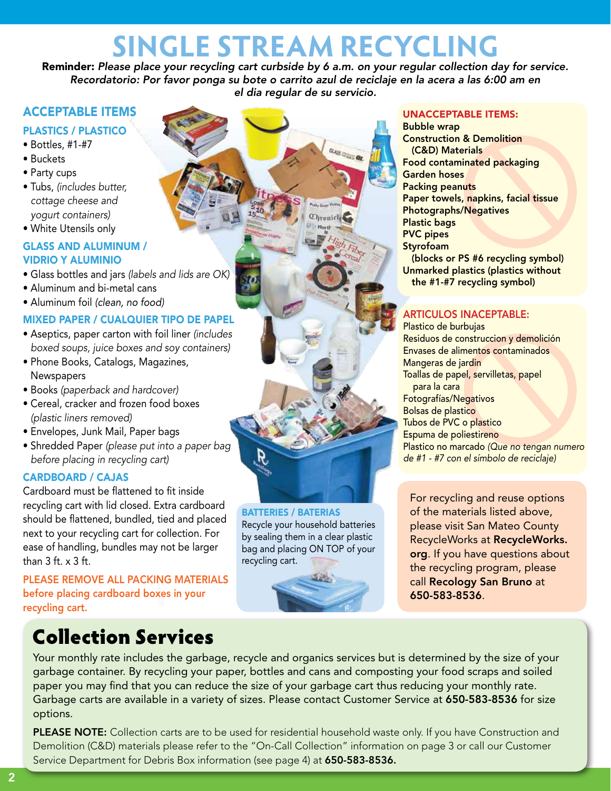## **SINGLE STREAM RECYCLING**

Reminder: *Please place your recycling cart curbside by 6 a.m. on your regular collection day for service. Recordatorio: Por favor ponga su bote o carrito azul de reciclaje en la acera a las 6:00 am en el dia regular de su servicio.*

aus and

**Thronicle** 

### ACCEPTABLE ITEMS

### PLASTICS / PLASTICO

- Bottles, #1-#7
- Buckets
- Party cups
- Tubs, *(includes butter, cottage cheese and yogurt containers)*
- White Utensils only

### GLASS AND ALUMINUM / VIDRIO Y ALUMINIO

- Glass bottles and jars *(labels and lids are OK)*
- Aluminum and bi-metal cans
- Aluminum foil *(clean, no food)*

### MIXED PAPER / CUALQUIER TIPO DE PAPEL

- Aseptics, paper carton with foil liner *(includes boxed soups, juice boxes and soy containers)*
- Phone Books, Catalogs, Magazines, **Newspapers**
- Books *(paperback and hardcover)*
- Cereal, cracker and frozen food boxes *(plastic liners removed)*
- Envelopes, Junk Mail, Paper bags
- Shredded Paper *(please put into a paper bag before placing in recycling cart)*

### CARDBOARD / CAJAS

Cardboard must be flattened to fit inside recycling cart with lid closed. Extra cardboard should be flattened, bundled, tied and placed next to your recycling cart for collection. For ease of handling, bundles may not be larger than  $3$  ft.  $\times$   $3$  ft.

PLEASE REMOVE ALL PACKING MATERIALS before placing cardboard boxes in your recycling cart.

### Collection Services

Your monthly rate includes the garbage, recycle and organics services but is determined by the size of your garbage container. By recycling your paper, bottles and cans and composting your food scraps and soiled paper you may find that you can reduce the size of your garbage cart thus reducing your monthly rate. Garbage carts are available in a variety of sizes. Please contact Customer Service at 650-583-8536 for size options.

BATTERIES / BATERIAS

recycling cart.

R

Recycle your household batteries by sealing them in a clear plastic bag and placing ON TOP of your

PLEASE NOTE: Collection carts are to be used for residential household waste only. If you have Construction and Demolition (C&D) materials please refer to the "On-Call Collection" information on page 3 or call our Customer Service Department for Debris Box information (see page 4) at 650-583-8536.

#### UNACCEPTABLE ITEMS:

Bubble wrap Construction & Demolition (C&D) Materials Food contaminated packaging Garden hoses Packing peanuts Paper towels, napkins, facial tissue Photographs/Negatives Plastic bags PVC pipes **Styrofoam** (blocks or PS #6 recycling symbol) Unmarked plastics (plastics without the #1-#7 recycling symbol)

### ARTICULOS INACEPTABLE:

Plastico de burbujas Residuos de construccion y demolición Envases de alimentos contaminados Mangeras de jardin Toallas de papel, servilletas, papel para la cara Fotografías/Negativos Bolsas de plastico Tubos de PVC o plastico Espuma de poliestireno Plastico no marcado *(Que no tengan numero de #1 - #7 con el símbolo de reciclaje)*

For recycling and reuse options of the materials listed above, please visit San Mateo County RecycleWorks at RecycleWorks. org. If you have questions about the recycling program, please call Recology San Bruno at 650-583-8536.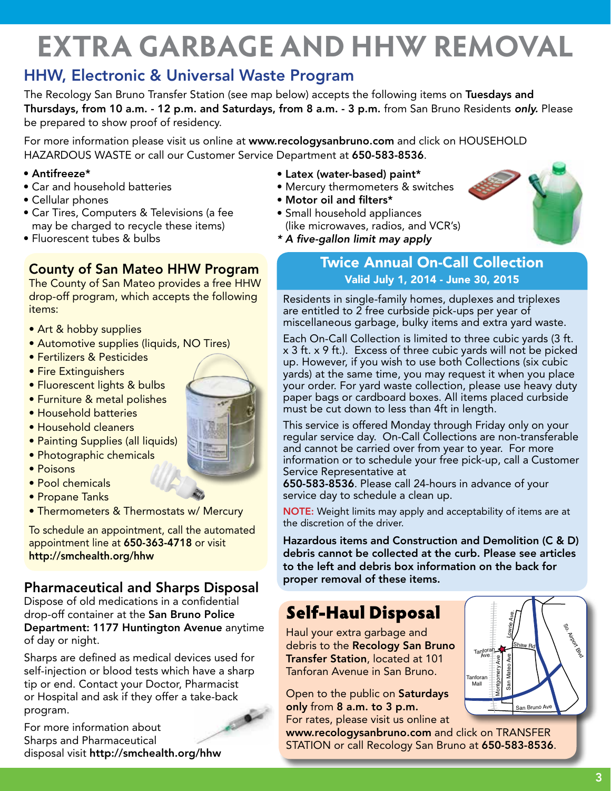# **EXTRA GARBAGE AND HHW REMOVAL**

### HHW, Electronic & Universal Waste Program

The Recology San Bruno Transfer Station (see map below) accepts the following items on Tuesdays and Thursdays, from 10 a.m. - 12 p.m. and Saturdays, from 8 a.m. - 3 p.m. from San Bruno Residents *only.* Please be prepared to show proof of residency.

For more information please visit us online at www.recologysanbruno.com and click on HOUSEHOLD HAZARDOUS WASTE or call our Customer Service Department at 650-583-8536.

- Antifreeze\*
- Car and household batteries
- Cellular phones
- Car Tires, Computers & Televisions (a fee may be charged to recycle these items)
- Fluorescent tubes & bulbs

### County of San Mateo HHW Program

The County of San Mateo provides a free HHW drop-off program, which accepts the following items:

- Art & hobby supplies
- Automotive supplies (liquids, NO Tires)
- Fertilizers & Pesticides
- Fire Extinguishers
- Fluorescent lights & bulbs
- Furniture & metal polishes
- Household batteries
- Household cleaners
- Painting Supplies (all liquids)
- Photographic chemicals
- Poisons
- Pool chemicals
- Propane Tanks
- Thermometers & Thermostats w/ Mercury

To schedule an appointment, call the automated appointment line at 650-363-4718 or visit http://smchealth.org/hhw

### Pharmaceutical and Sharps Disposal

Dispose of old medications in a confidential drop-off container at the San Bruno Police Department: 1177 Huntington Avenue anytime of day or night.

Sharps are defined as medical devices used for self-injection or blood tests which have a sharp tip or end. Contact your Doctor, Pharmacist or Hospital and ask if they offer a take-back program.



For more information about Sharps and Pharmaceutical disposal visit http://smchealth.org/hhw

- Latex (water-based) paint\*
- Mercury thermometers & switches
- Motor oil and filters\*
- Small household appliances (like microwaves, radios, and VCR's)
- *\* A five-gallon limit may apply*

### Twice Annual On-Call Collection Valid July 1, 2014 - June 30, 2015

Residents in single-family homes, duplexes and triplexes are entitled to 2 free curbside pick-ups per year of miscellaneous garbage, bulky items and extra yard waste.

Each On-Call Collection is limited to three cubic yards (3 ft. x 3 ft. x 9 ft.). Excess of three cubic yards will not be picked up. However, if you wish to use both Collections (six cubic yards) at the same time, you may request it when you place your order. For yard waste collection, please use heavy duty paper bags or cardboard boxes. All items placed curbside must be cut down to less than 4ft in length.

This service is offered Monday through Friday only on your regular service day. On-Call Collections are non-transferable and cannot be carried over from year to year. For more information or to schedule your free pick-up, call a Customer Service Representative at

650-583-8536. Please call 24-hours in advance of your service day to schedule a clean up.

NOTE: Weight limits may apply and acceptability of items are at the discretion of the driver.

Hazardous items and Construction and Demolition (C & D) debris cannot be collected at the curb. Please see articles to the left and debris box information on the back for proper removal of these items.

### Self-Haul Disposal

Haul your extra garbage and debris to the Recology San Bruno Transfer Station, located at 101 Tanforan Avenue in San Bruno.

Open to the public on Saturdays only from 8 a.m. to 3 p.m. For rates, please visit us online at

www.recologysanbruno.com and click on TRANSFER STATION or call Recology San Bruno at 650-583-8536.